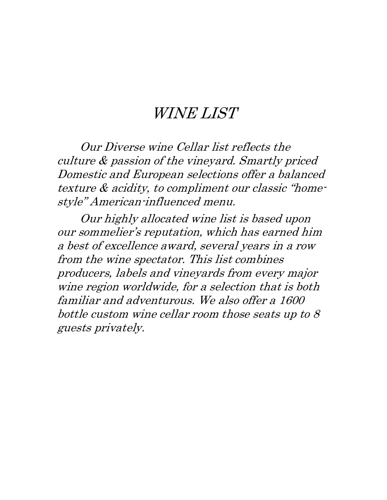# WINE LIST

Our Diverse wine Cellar list reflects the culture & passion of the vineyard. Smartly priced Domestic and European selections offer a balanced texture & acidity, to compliment our classic "homestyle" American-influenced menu.

Our highly allocated wine list is based upon our sommelier's reputation, which has earned him a best of excellence award, several years in a row from the wine spectator. This list combines producers, labels and vineyards from every major wine region worldwide, for a selection that is both familiar and adventurous. We also offer a 1600 bottle custom wine cellar room those seats up to 8 guests privately.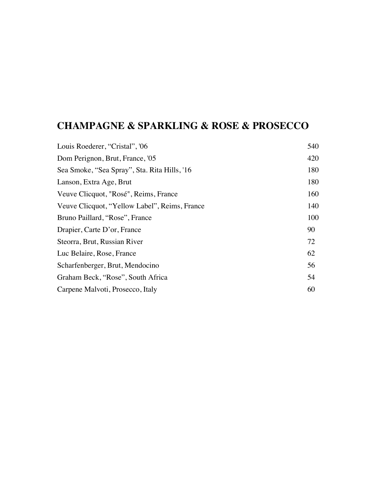### **CHAMPAGNE & SPARKLING & ROSE & PROSECCO**

| Louis Roederer, "Cristal", '06                | 540 |
|-----------------------------------------------|-----|
| Dom Perignon, Brut, France, '05               | 420 |
| Sea Smoke, "Sea Spray", Sta. Rita Hills, '16  | 180 |
| Lanson, Extra Age, Brut                       | 180 |
| Veuve Clicquot, "Rosé", Reims, France         | 160 |
| Veuve Clicquot, "Yellow Label", Reims, France | 140 |
| Bruno Paillard, "Rose", France                | 100 |
| Drapier, Carte D'or, France                   | 90  |
| Steorra, Brut, Russian River                  | 72  |
| Luc Belaire, Rose, France                     | 62  |
| Scharfenberger, Brut, Mendocino               | 56  |
| Graham Beck, "Rose", South Africa             | 54  |
| Carpene Malvoti, Prosecco, Italy              | 60  |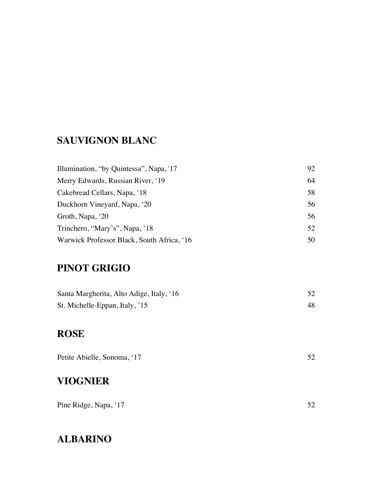#### **SAUVIGNON BLANC**

| Illumination, "by Quintessa", Napa, '17    | 92 |
|--------------------------------------------|----|
| Merry Edwards, Russian River, '19          | 64 |
| Cakebread Cellars, Napa, '18               | 58 |
| Duckhorn Vineyard, Napa, '20               | 56 |
| Groth, Napa, '20                           | 56 |
| Trinchero, "Mary's", Napa, '18             | 52 |
| Warwick Professor Black, South Africa, '16 | 50 |

## **PINOT GRIGIO**

| Santa Margherita, Alto Adige, Italy, '16 |  |
|------------------------------------------|--|
| St. Michelle-Eppan, Italy, '15           |  |

#### **ROSE**

| Petite Abielle, Sonoma, '17 |  |
|-----------------------------|--|
|                             |  |

# **VIOGNIER**

## **ALBARINO**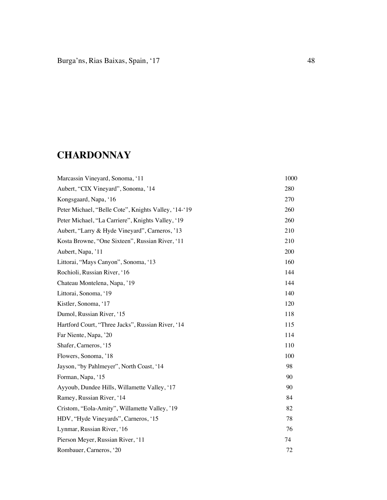# **CHARDONNAY**

| Marcassin Vineyard, Sonoma, '11                      | 1000 |
|------------------------------------------------------|------|
| Aubert, "CIX Vineyard", Sonoma, '14                  | 280  |
| Kongsgaard, Napa, '16                                | 270  |
| Peter Michael, "Belle Cote", Knights Valley, '14-'19 | 260  |
| Peter Michael, "La Carriere", Knights Valley, '19    | 260  |
| Aubert, "Larry & Hyde Vineyard", Carneros, '13       | 210  |
| Kosta Browne, "One Sixteen", Russian River, '11      | 210  |
| Aubert, Napa, '11                                    | 200  |
| Littorai, "Mays Canyon", Sonoma, '13                 | 160  |
| Rochioli, Russian River, '16                         | 144  |
| Chateau Montelena, Napa, '19                         | 144  |
| Littorai, Sonoma, '19                                | 140  |
| Kistler, Sonoma, '17                                 | 120  |
| Dumol, Russian River, '15                            | 118  |
| Hartford Court, "Three Jacks", Russian River, '14    | 115  |
| Far Niente, Napa, '20                                | 114  |
| Shafer, Carneros, '15                                | 110  |
| Flowers, Sonoma, '18                                 | 100  |
| Jayson, "by Pahlmeyer", North Coast, '14             | 98   |
| Forman, Napa, '15                                    | 90   |
| Ayyoub, Dundee Hills, Willamette Valley, '17         | 90   |
| Ramey, Russian River, '14                            | 84   |
| Cristom, "Eola-Amity", Willamette Valley, '19        | 82   |
| HDV, "Hyde Vineyards", Carneros, '15                 | 78   |
| Lynmar, Russian River, '16                           | 76   |
| Pierson Meyer, Russian River, '11                    | 74   |
| Rombauer, Carneros, '20                              | 72   |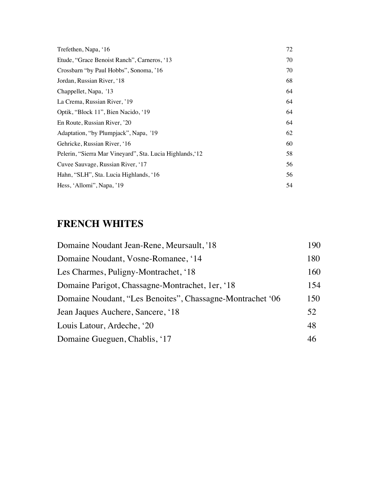| Trefethen, Napa, '16                                     | 72 |
|----------------------------------------------------------|----|
| Etude, "Grace Benoist Ranch", Carneros, '13              | 70 |
| Crossbarn "by Paul Hobbs", Sonoma, '16                   | 70 |
| Jordan, Russian River, '18                               | 68 |
| Chappellet, Napa, '13                                    | 64 |
| La Crema, Russian River, '19                             | 64 |
| Optik, "Block 11", Bien Nacido, '19                      | 64 |
| En Route, Russian River, '20                             | 64 |
| Adaptation, "by Plumpjack", Napa, '19                    | 62 |
| Gehricke, Russian River, '16                             | 60 |
| Pelerin, "Sierra Mar Vineyard", Sta. Lucia Highlands, 12 | 58 |
| Cuvee Sauvage, Russian River, '17                        | 56 |
| Hahn, "SLH", Sta. Lucia Highlands, '16                   | 56 |
| Hess, 'Allomi'', Napa, '19                               | 54 |

# **FRENCH WHITES**

| 190 |
|-----|
| 180 |
| 160 |
| 154 |
| 150 |
| 52  |
| 48  |
| 46  |
|     |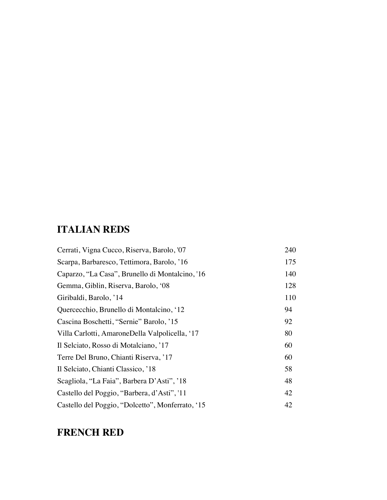# **ITALIAN REDS**

| Cerrati, Vigna Cucco, Riserva, Barolo, '07       | 240 |
|--------------------------------------------------|-----|
| Scarpa, Barbaresco, Tettimora, Barolo, '16       | 175 |
| Caparzo, "La Casa", Brunello di Montalcino, '16  | 140 |
| Gemma, Giblin, Riserva, Barolo, '08              | 128 |
| Giribaldi, Barolo, '14                           | 110 |
| Quercecchio, Brunello di Montalcino, '12         | 94  |
| Cascina Boschetti, "Sernie" Barolo, '15          | 92  |
| Villa Carlotti, AmaroneDella Valpolicella, '17   | 80  |
| Il Selciato, Rosso di Motalciano, '17            | 60  |
| Terre Del Bruno, Chianti Riserva, '17            | 60  |
| Il Selciato, Chianti Classico, '18               | 58  |
| Scagliola, "La Faia", Barbera D'Asti", '18       | 48  |
| Castello del Poggio, "Barbera, d'Asti", '11      | 42  |
| Castello del Poggio, "Dolcetto", Monferrato, '15 | 42  |

### **FRENCH RED**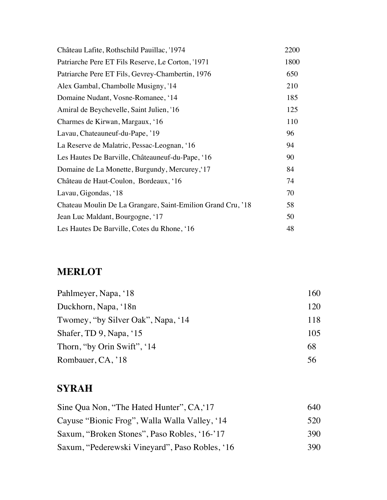| Château Lafite, Rothschild Pauillac, '1974                  | 2200 |
|-------------------------------------------------------------|------|
| Patriarche Pere ET Fils Reserve, Le Corton, '1971           | 1800 |
| Patriarche Pere ET Fils, Gevrey-Chambertin, 1976            | 650  |
| Alex Gambal, Chambolle Musigny, '14                         | 210  |
| Domaine Nudant, Vosne-Romanee, '14                          | 185  |
| Amiral de Beychevelle, Saint Julien, '16                    | 125  |
| Charmes de Kirwan, Margaux, '16                             | 110  |
| Lavau, Chateauneuf-du-Pape, '19                             | 96   |
| La Reserve de Malatric, Pessac-Leognan, '16                 | 94   |
| Les Hautes De Barville, Châteauneuf-du-Pape, '16            | 90   |
| Domaine de La Monette, Burgundy, Mercurey, 17               | 84   |
| Château de Haut-Coulon, Bordeaux, '16                       | 74   |
| Lavau, Gigondas, '18                                        | 70   |
| Chateau Moulin De La Grangare, Saint-Emilion Grand Cru, '18 | 58   |
| Jean Luc Maldant, Bourgogne, '17                            | 50   |
| Les Hautes De Barville, Cotes du Rhone, '16                 | 48   |

# **MERLOT**

| Pahlmeyer, Napa, '18               | 160 |
|------------------------------------|-----|
| Duckhorn, Napa, '18n               | 120 |
| Twomey, "by Silver Oak", Napa, '14 | 118 |
| Shafer, TD 9, Napa, '15            | 105 |
| Thorn, "by Orin Swift", '14        | 68  |
| Rombauer, CA, '18                  | 56  |

# **SYRAH**

| Sine Qua Non, "The Hated Hunter", CA, 17       | 640   |
|------------------------------------------------|-------|
| Cayuse "Bionic Frog", Walla Walla Valley, '14  | 520   |
| Saxum, "Broken Stones", Paso Robles, '16-'17   | 390   |
| Saxum, "Pederewski Vineyard", Paso Robles, '16 | 390 I |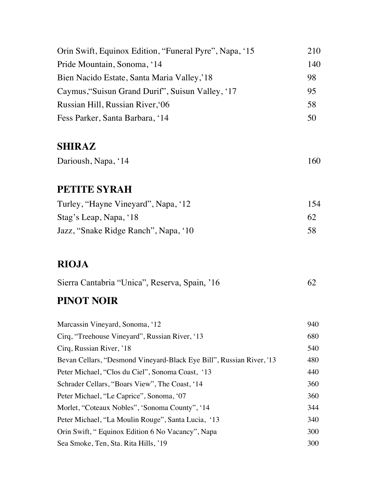| Orin Swift, Equinox Edition, "Funeral Pyre", Napa, '15 | 210 |
|--------------------------------------------------------|-----|
| Pride Mountain, Sonoma, '14                            | 140 |
| Bien Nacido Estate, Santa Maria Valley, 18             | 98  |
| Caymus, "Suisun Grand Durif", Suisun Valley, '17       | 95  |
| Russian Hill, Russian River, 06                        | 58  |
| Fess Parker, Santa Barbara, '14                        | 50  |

#### **SHIRAZ**

| Darioush, Napa, '14 | 160 |
|---------------------|-----|
|                     |     |

#### **PETITE SYRAH**

| Turley, "Hayne Vineyard", Napa, '12  | 154 |
|--------------------------------------|-----|
| Stag's Leap, Napa, '18               | 62  |
| Jazz, "Snake Ridge Ranch", Napa, '10 | 58  |

# **RIOJA**

| Sierra Cantabria "Unica", Reserva, Spain, '16 |  |  |
|-----------------------------------------------|--|--|
|                                               |  |  |

# **PINOT NOIR**

| Marcassin Vineyard, Sonoma, '12                                      | 940 |
|----------------------------------------------------------------------|-----|
| Cirq, "Treehouse Vineyard", Russian River, '13                       | 680 |
| Cirq, Russian River, '18                                             | 540 |
| Bevan Cellars, "Desmond Vineyard-Black Eye Bill", Russian River, '13 | 480 |
| Peter Michael, "Clos du Ciel", Sonoma Coast, '13                     | 440 |
| Schrader Cellars, "Boars View", The Coast, '14                       | 360 |
| Peter Michael, "Le Caprice", Sonoma, '07                             | 360 |
| Morlet, "Coteaux Nobles", 'Sonoma County", '14                       | 344 |
| Peter Michael, "La Moulin Rouge", Santa Lucia, '13                   | 340 |
| Orin Swift, "Equinox Edition 6 No Vacancy", Napa                     | 300 |
| Sea Smoke, Ten, Sta. Rita Hills, '19                                 | 300 |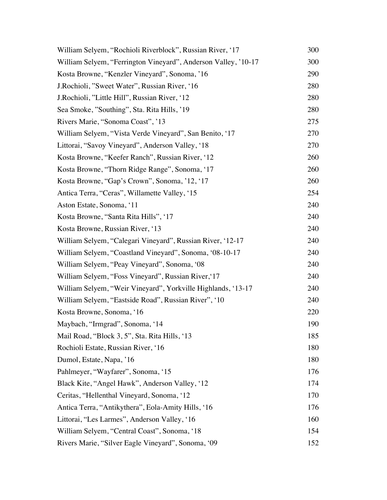| William Selyem, "Rochioli Riverblock", Russian River, '17      | 300 |
|----------------------------------------------------------------|-----|
| William Selyem, "Ferrington Vineyard", Anderson Valley, '10-17 | 300 |
| Kosta Browne, "Kenzler Vineyard", Sonoma, '16                  | 290 |
| J. Rochioli, "Sweet Water", Russian River, '16                 | 280 |
| J. Rochioli, "Little Hill", Russian River, '12                 | 280 |
| Sea Smoke, "Southing", Sta. Rita Hills, '19                    | 280 |
| Rivers Marie, "Sonoma Coast", '13                              | 275 |
| William Selyem, "Vista Verde Vineyard", San Benito, '17        | 270 |
| Littorai, "Savoy Vineyard", Anderson Valley, '18               | 270 |
| Kosta Browne, "Keefer Ranch", Russian River, '12               | 260 |
| Kosta Browne, "Thorn Ridge Range", Sonoma, '17                 | 260 |
| Kosta Browne, "Gap's Crown", Sonoma, '12, '17                  | 260 |
| Antica Terra, "Ceras", Willamette Valley, '15                  | 254 |
| Aston Estate, Sonoma, '11                                      | 240 |
| Kosta Browne, "Santa Rita Hills", '17                          | 240 |
| Kosta Browne, Russian River, '13                               | 240 |
| William Selyem, "Calegari Vineyard", Russian River, '12-17     | 240 |
| William Selyem, "Coastland Vineyard", Sonoma, '08-10-17        | 240 |
| William Selyem, "Peay Vineyard", Sonoma, '08                   | 240 |
| William Selyem, "Foss Vineyard", Russian River, 17             | 240 |
| William Selyem, "Weir Vineyard", Yorkville Highlands, '13-17   | 240 |
| William Selyem, "Eastside Road", Russian River", '10           | 240 |
| Kosta Browne, Sonoma, '16                                      | 220 |
| Maybach, "Irmgrad", Sonoma, '14                                | 190 |
| Mail Road, "Block 3, 5", Sta. Rita Hills, '13                  | 185 |
| Rochioli Estate, Russian River, '16                            | 180 |
| Dumol, Estate, Napa, '16                                       | 180 |
| Pahlmeyer, "Wayfarer", Sonoma, '15                             | 176 |
| Black Kite, "Angel Hawk", Anderson Valley, '12                 | 174 |
| Ceritas, "Hellenthal Vineyard, Sonoma, '12                     | 170 |
| Antica Terra, "Antikythera", Eola-Amity Hills, '16             | 176 |
| Littorai, "Les Larmes", Anderson Valley, '16                   | 160 |
| William Selyem, "Central Coast", Sonoma, '18                   | 154 |
| Rivers Marie, "Silver Eagle Vineyard", Sonoma, '09             | 152 |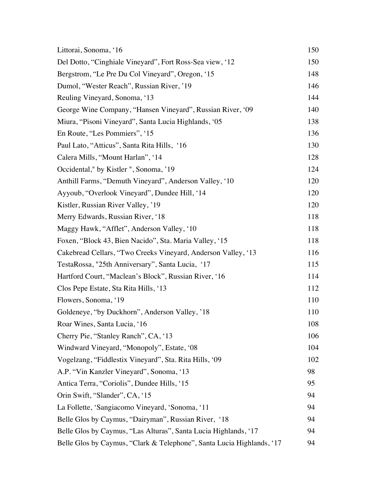| Littorai, Sonoma, '16                                                 | 150 |
|-----------------------------------------------------------------------|-----|
| Del Dotto, "Cinghiale Vineyard", Fort Ross-Sea view, '12              | 150 |
| Bergstrom, "Le Pre Du Col Vineyard", Oregon, '15                      | 148 |
| Dumol, "Wester Reach", Russian River, '19                             | 146 |
| Reuling Vineyard, Sonoma, '13                                         | 144 |
| George Wine Company, "Hansen Vineyard", Russian River, '09            | 140 |
| Miura, "Pisoni Vineyard", Santa Lucia Highlands, '05                  | 138 |
| En Route, "Les Pommiers", '15                                         | 136 |
| Paul Lato, "Atticus", Santa Rita Hills, '16                           | 130 |
| Calera Mills, "Mount Harlan", '14                                     | 128 |
| Occidental," by Kistler ", Sonoma, '19                                | 124 |
| Anthill Farms, "Demuth Vineyard", Anderson Valley, '10                | 120 |
| Ayyoub, "Overlook Vineyard", Dundee Hill, '14                         | 120 |
| Kistler, Russian River Valley, '19                                    | 120 |
| Merry Edwards, Russian River, '18                                     | 118 |
| Maggy Hawk, "Afflet", Anderson Valley, '10                            | 118 |
| Foxen, "Block 43, Bien Nacido", Sta. Maria Valley, '15                | 118 |
| Cakebread Cellars, "Two Creeks Vineyard, Anderson Valley, '13         | 116 |
| TestaRossa, "25th Anniversary", Santa Lucia, '17                      | 115 |
| Hartford Court, "Maclean's Block", Russian River, '16                 | 114 |
| Clos Pepe Estate, Sta Rita Hills, '13                                 | 112 |
| Flowers, Sonoma, '19                                                  | 110 |
| Goldeneye, "by Duckhorn", Anderson Valley, '18                        | 110 |
| Roar Wines, Santa Lucia, '16                                          | 108 |
| Cherry Pie, "Stanley Ranch", CA, '13                                  | 106 |
| Windward Vineyard, "Monopoly", Estate, '08                            | 104 |
| Vogelzang, "Fiddlestix Vineyard", Sta. Rita Hills, '09                | 102 |
| A.P. "Vin Kanzler Vineyard", Sonoma, '13                              | 98  |
| Antica Terra, "Coriolis", Dundee Hills, '15                           | 95  |
| Orin Swift, "Slander", CA, '15                                        | 94  |
| La Follette, 'Sangiacomo Vineyard, 'Sonoma, '11                       | 94  |
| Belle Glos by Caymus, "Dairyman", Russian River, '18                  | 94  |
| Belle Glos by Caymus, "Las Alturas", Santa Lucia Highlands, '17       | 94  |
| Belle Glos by Caymus, "Clark & Telephone", Santa Lucia Highlands, '17 | 94  |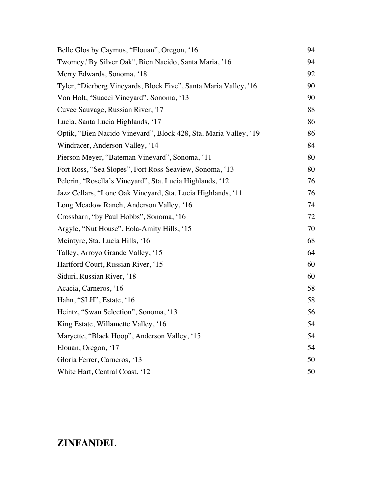| Belle Glos by Caymus, "Elouan", Oregon, '16                      | 94 |
|------------------------------------------------------------------|----|
| Twomey,"By Silver Oak", Bien Nacido, Santa Maria, '16            | 94 |
| Merry Edwards, Sonoma, '18                                       | 92 |
| Tyler, "Dierberg Vineyards, Block Five", Santa Maria Valley, '16 | 90 |
| Von Holt, "Suacci Vineyard", Sonoma, '13                         | 90 |
| Cuvee Sauvage, Russian River, '17                                | 88 |
| Lucia, Santa Lucia Highlands, '17                                | 86 |
| Optik, "Bien Nacido Vineyard", Block 428, Sta. Maria Valley, '19 | 86 |
| Windracer, Anderson Valley, '14                                  | 84 |
| Pierson Meyer, "Bateman Vineyard", Sonoma, '11                   | 80 |
| Fort Ross, "Sea Slopes", Fort Ross-Seaview, Sonoma, '13          | 80 |
| Pelerin, "Rosella's Vineyard", Sta. Lucia Highlands, '12         | 76 |
| Jazz Cellars, "Lone Oak Vineyard, Sta. Lucia Highlands, '11      | 76 |
| Long Meadow Ranch, Anderson Valley, '16                          | 74 |
| Crossbarn, "by Paul Hobbs", Sonoma, '16                          | 72 |
| Argyle, "Nut House", Eola-Amity Hills, '15                       | 70 |
| Meintyre, Sta. Lucia Hills, '16                                  | 68 |
| Talley, Arroyo Grande Valley, '15                                | 64 |
| Hartford Court, Russian River, '15                               | 60 |
| Siduri, Russian River, '18                                       | 60 |
| Acacia, Carneros, '16                                            | 58 |
| Hahn, "SLH", Estate, '16                                         | 58 |
| Heintz, "Swan Selection", Sonoma, '13                            | 56 |
| King Estate, Willamette Valley, '16                              | 54 |
| Maryette, "Black Hoop", Anderson Valley, '15                     | 54 |
| Elouan, Oregon, '17                                              | 54 |
| Gloria Ferrer, Carneros, '13                                     | 50 |
| White Hart, Central Coast, '12                                   | 50 |

## **ZINFANDEL**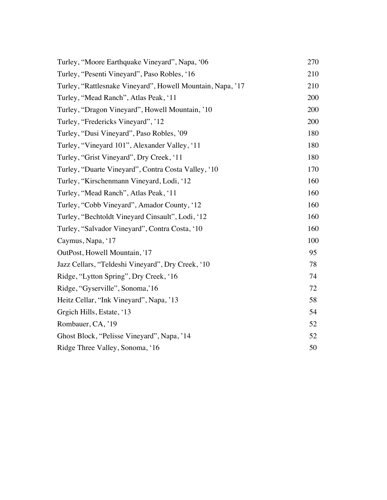| Turley, "Moore Earthquake Vineyard", Napa, '06             | 270 |
|------------------------------------------------------------|-----|
| Turley, "Pesenti Vineyard", Paso Robles, '16               | 210 |
| Turley, "Rattlesnake Vineyard", Howell Mountain, Napa, '17 | 210 |
| Turley, "Mead Ranch", Atlas Peak, '11                      | 200 |
| Turley, "Dragon Vineyard", Howell Mountain, '10            | 200 |
| Turley, "Fredericks Vineyard", '12                         | 200 |
| Turley, "Dusi Vineyard", Paso Robles, '09                  | 180 |
| Turley, "Vineyard 101", Alexander Valley, '11              | 180 |
| Turley, "Grist Vineyard", Dry Creek, '11                   | 180 |
| Turley, "Duarte Vineyard", Contra Costa Valley, '10        | 170 |
| Turley, "Kirschenmann Vineyard, Lodi, '12                  | 160 |
| Turley, "Mead Ranch", Atlas Peak, '11                      | 160 |
| Turley, "Cobb Vineyard", Amador County, '12                | 160 |
| Turley, "Bechtoldt Vineyard Cinsault", Lodi, '12           | 160 |
| Turley, "Salvador Vineyard", Contra Costa, '10             | 160 |
| Caymus, Napa, '17                                          | 100 |
| OutPost, Howell Mountain, '17                              | 95  |
| Jazz Cellars, "Teldeshi Vineyard", Dry Creek, '10          | 78  |
| Ridge, "Lytton Spring", Dry Creek, '16                     | 74  |
| Ridge, "Gyserville", Sonoma, 16                            | 72  |
| Heitz Cellar, "Ink Vineyard", Napa, '13                    | 58  |
| Grgich Hills, Estate, '13                                  | 54  |
| Rombauer, CA, '19                                          | 52  |
| Ghost Block, "Pelisse Vineyard", Napa, '14                 | 52  |
| Ridge Three Valley, Sonoma, '16                            | 50  |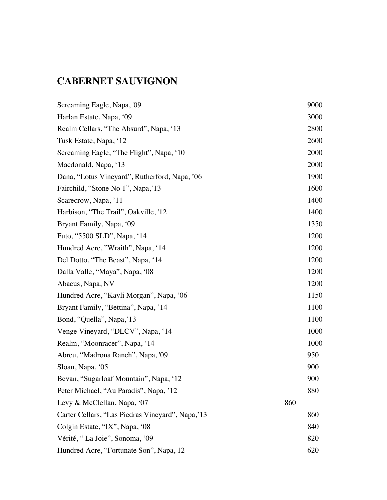# **CABERNET SAUVIGNON**

| Screaming Eagle, Napa, '09                       |     | 9000 |
|--------------------------------------------------|-----|------|
| Harlan Estate, Napa, '09                         |     | 3000 |
| Realm Cellars, "The Absurd", Napa, '13           |     | 2800 |
| Tusk Estate, Napa, '12                           |     | 2600 |
| Screaming Eagle, "The Flight", Napa, '10         |     | 2000 |
| Macdonald, Napa, '13                             |     | 2000 |
| Dana, "Lotus Vineyard", Rutherford, Napa, '06    |     | 1900 |
| Fairchild, "Stone No 1", Napa, 13                |     | 1600 |
| Scarecrow, Napa, '11                             |     | 1400 |
| Harbison, "The Trail", Oakville, '12             |     | 1400 |
| Bryant Family, Napa, '09                         |     | 1350 |
| Futo, "5500 SLD", Napa, '14                      |     | 1200 |
| Hundred Acre, "Wraith", Napa, '14                |     | 1200 |
| Del Dotto, "The Beast", Napa, '14                |     | 1200 |
| Dalla Valle, "Maya", Napa, '08                   |     | 1200 |
| Abacus, Napa, NV                                 |     | 1200 |
| Hundred Acre, "Kayli Morgan", Napa, '06          |     | 1150 |
| Bryant Family, "Bettina", Napa, '14              |     | 1100 |
| Bond, "Quella", Napa, 13                         |     | 1100 |
| Venge Vineyard, "DLCV", Napa, '14                |     | 1000 |
| Realm, "Moonracer", Napa, '14                    |     | 1000 |
| Abreu, "Madrona Ranch", Napa, '09                |     | 950  |
| Sloan, Napa, '05                                 |     | 900  |
| Bevan, "Sugarloaf Mountain", Napa, '12           |     | 900  |
| Peter Michael, "Au Paradis", Napa, '12           |     | 880  |
| Levy & McClellan, Napa, '07                      | 860 |      |
| Carter Cellars, "Las Piedras Vineyard", Napa, 13 |     | 860  |
| Colgin Estate, "IX", Napa, '08                   |     | 840  |
| Vérité, "La Joie", Sonoma, '09                   |     | 820  |
| Hundred Acre, "Fortunate Son", Napa, 12          |     | 620  |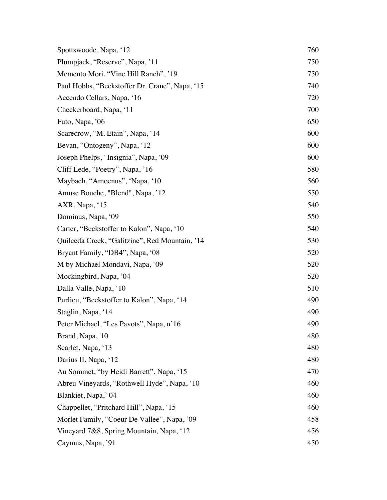| Spottswoode, Napa, '12                         | 760 |
|------------------------------------------------|-----|
| Plumpjack, "Reserve", Napa, '11                | 750 |
| Memento Mori, "Vine Hill Ranch", '19           | 750 |
| Paul Hobbs, "Beckstoffer Dr. Crane", Napa, '15 | 740 |
| Accendo Cellars, Napa, '16                     | 720 |
| Checkerboard, Napa, '11                        | 700 |
| Futo, Napa, '06                                | 650 |
| Scarecrow, "M. Etain", Napa, '14               | 600 |
| Bevan, "Ontogeny", Napa, '12                   | 600 |
| Joseph Phelps, "Insignia", Napa, '09           | 600 |
| Cliff Lede, "Poetry", Napa, '16                | 580 |
| Maybach, "Amoenus", 'Napa, '10                 | 560 |
| Amuse Bouche, "Blend", Napa, '12               | 550 |
| AXR, Napa, '15                                 | 540 |
| Dominus, Napa, '09                             | 550 |
| Carter, "Beckstoffer to Kalon", Napa, '10      | 540 |
| Quilceda Creek, "Galitzine", Red Mountain, '14 | 530 |
| Bryant Family, "DB4", Napa, '08                | 520 |
| M by Michael Mondavi, Napa, '09                | 520 |
| Mockingbird, Napa, '04                         | 520 |
| Dalla Valle, Napa, '10                         | 510 |
| Purlieu, "Beckstoffer to Kalon", Napa, '14     | 490 |
| Staglin, Napa, '14                             | 490 |
| Peter Michael, "Les Pavots", Napa, n'16        | 490 |
| Brand, Napa, '10                               | 480 |
| Scarlet, Napa, '13                             | 480 |
| Darius II, Napa, '12                           | 480 |
| Au Sommet, "by Heidi Barrett", Napa, '15       | 470 |
| Abreu Vineyards, "Rothwell Hyde", Napa, '10    | 460 |
| Blankiet, Napa,' 04                            | 460 |
| Chappellet, "Pritchard Hill", Napa, '15        | 460 |
| Morlet Family, "Coeur De Vallee", Napa, '09    | 458 |
| Vineyard 7&8, Spring Mountain, Napa, '12       | 456 |
| Caymus, Napa, '91                              | 450 |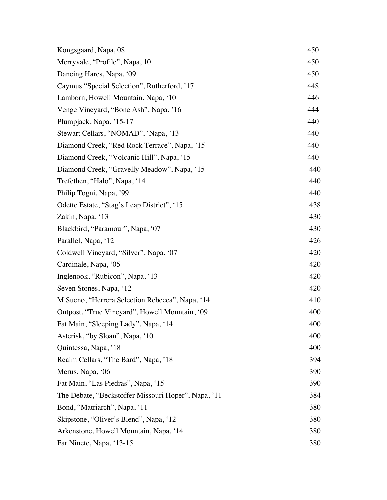| Kongsgaard, Napa, 08                                | 450 |
|-----------------------------------------------------|-----|
| Merryvale, "Profile", Napa, 10                      | 450 |
| Dancing Hares, Napa, '09                            | 450 |
| Caymus "Special Selection", Rutherford, '17         | 448 |
| Lamborn, Howell Mountain, Napa, '10                 | 446 |
| Venge Vineyard, "Bone Ash", Napa, '16               | 444 |
| Plumpjack, Napa, '15-17                             | 440 |
| Stewart Cellars, "NOMAD", 'Napa, '13                | 440 |
| Diamond Creek, "Red Rock Terrace", Napa, '15        | 440 |
| Diamond Creek, "Volcanic Hill", Napa, '15           | 440 |
| Diamond Creek, "Gravelly Meadow", Napa, '15         | 440 |
| Trefethen, "Halo", Napa, '14                        | 440 |
| Philip Togni, Napa, '99                             | 440 |
| Odette Estate, "Stag's Leap District", '15          | 438 |
| Zakin, Napa, '13                                    | 430 |
| Blackbird, "Paramour", Napa, '07                    | 430 |
| Parallel, Napa, '12                                 | 426 |
| Coldwell Vineyard, "Silver", Napa, '07              | 420 |
| Cardinale, Napa, '05                                | 420 |
| Inglenook, "Rubicon", Napa, '13                     | 420 |
| Seven Stones, Napa, '12                             | 420 |
| M Sueno, "Herrera Selection Rebecca", Napa, '14     | 410 |
| Outpost, "True Vineyard", Howell Mountain, '09      | 400 |
| Fat Main, "Sleeping Lady", Napa, '14                | 400 |
| Asterisk, "by Sloan", Napa, '10                     | 400 |
| Quintessa, Napa, '18                                | 400 |
| Realm Cellars, "The Bard", Napa, '18                | 394 |
| Merus, Napa, '06                                    | 390 |
| Fat Main, "Las Piedras", Napa, '15                  | 390 |
| The Debate, "Beckstoffer Missouri Hoper", Napa, '11 | 384 |
| Bond, "Matriarch", Napa, '11                        | 380 |
| Skipstone, "Oliver's Blend", Napa, '12              | 380 |
| Arkenstone, Howell Mountain, Napa, '14              | 380 |
| Far Ninete, Napa, '13-15                            | 380 |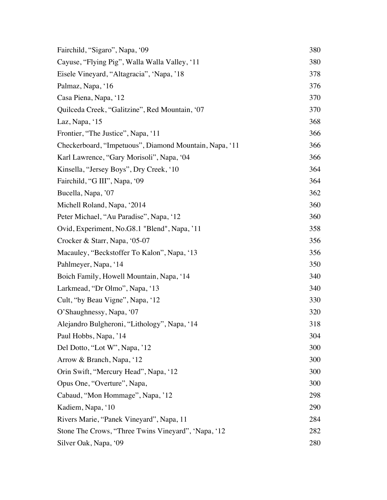| Fairchild, "Sigaro", Napa, '09                         | 380 |
|--------------------------------------------------------|-----|
| Cayuse, "Flying Pig", Walla Walla Valley, '11          | 380 |
| Eisele Vineyard, "Altagracia", 'Napa, '18              | 378 |
| Palmaz, Napa, '16                                      | 376 |
| Casa Piena, Napa, '12                                  | 370 |
| Quilceda Creek, "Galitzine", Red Mountain, '07         | 370 |
| Laz, Napa, '15                                         | 368 |
| Frontier, "The Justice", Napa, '11                     | 366 |
| Checkerboard, "Impetuous", Diamond Mountain, Napa, '11 | 366 |
| Karl Lawrence, "Gary Morisoli", Napa, '04              | 366 |
| Kinsella, "Jersey Boys", Dry Creek, '10                | 364 |
| Fairchild, "G III", Napa, '09                          | 364 |
| Bucella, Napa, '07                                     | 362 |
| Michell Roland, Napa, '2014                            | 360 |
| Peter Michael, "Au Paradise", Napa, '12                | 360 |
| Ovid, Experiment, No.G8.1 "Blend", Napa, '11           | 358 |
| Crocker & Starr, Napa, '05-07                          | 356 |
| Macauley, "Beckstoffer To Kalon", Napa, '13            | 356 |
| Pahlmeyer, Napa, '14                                   | 350 |
| Boich Family, Howell Mountain, Napa, '14               | 340 |
| Larkmead, "Dr Olmo", Napa, '13                         | 340 |
| Cult, "by Beau Vigne", Napa, '12                       | 330 |
| O'Shaughnessy, Napa, '07                               | 320 |
| Alejandro Bulgheroni, "Lithology", Napa, '14           | 318 |
| Paul Hobbs, Napa, '14                                  | 304 |
| Del Dotto, "Lot W", Napa, '12                          | 300 |
| Arrow & Branch, Napa, '12                              | 300 |
| Orin Swift, "Mercury Head", Napa, '12                  | 300 |
| Opus One, "Overture", Napa,                            | 300 |
| Cabaud, "Mon Hommage", Napa, '12                       | 298 |
| Kadiem, Napa, '10                                      | 290 |
| Rivers Marie, "Panek Vineyard", Napa, 11               | 284 |
| Stone The Crows, "Three Twins Vineyard", 'Napa, '12    | 282 |
| Silver Oak, Napa, '09                                  | 280 |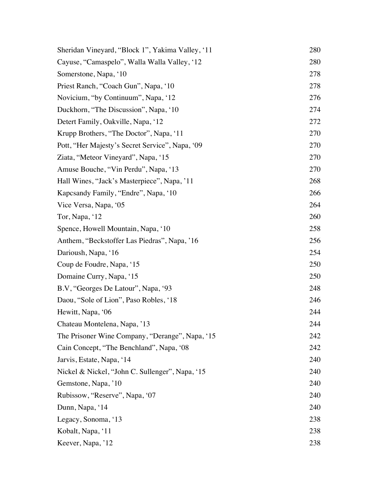| Sheridan Vineyard, "Block 1", Yakima Valley, '11 | 280 |
|--------------------------------------------------|-----|
| Cayuse, "Camaspelo", Walla Walla Valley, '12     | 280 |
| Somerstone, Napa, '10                            | 278 |
| Priest Ranch, "Coach Gun", Napa, '10             | 278 |
| Novicium, "by Continuum", Napa, '12              | 276 |
| Duckhorn, "The Discussion", Napa, '10            | 274 |
| Detert Family, Oakville, Napa, '12               | 272 |
| Krupp Brothers, "The Doctor", Napa, '11          | 270 |
| Pott, "Her Majesty's Secret Service", Napa, '09  | 270 |
| Ziata, "Meteor Vineyard", Napa, '15              | 270 |
| Amuse Bouche, "Vin Perdu", Napa, '13             | 270 |
| Hall Wines, "Jack's Masterpiece", Napa, '11      | 268 |
| Kapcsandy Family, "Endre", Napa, '10             | 266 |
| Vice Versa, Napa, '05                            | 264 |
| Tor, Napa, '12                                   | 260 |
| Spence, Howell Mountain, Napa, '10               | 258 |
| Anthem, "Beckstoffer Las Piedras", Napa, '16     | 256 |
| Darioush, Napa, '16                              | 254 |
| Coup de Foudre, Napa, '15                        | 250 |
| Domaine Curry, Napa, '15                         | 250 |
| B.V, "Georges De Latour", Napa, '93              | 248 |
| Daou, "Sole of Lion", Paso Robles, '18           | 246 |
| Hewitt, Napa, '06                                | 244 |
| Chateau Montelena, Napa, '13                     | 244 |
| The Prisoner Wine Company, "Derange", Napa, '15  | 242 |
| Cain Concept, "The Benchland", Napa, '08         | 242 |
| Jarvis, Estate, Napa, '14                        | 240 |
| Nickel & Nickel, "John C. Sullenger", Napa, '15  | 240 |
| Gemstone, Napa, '10                              | 240 |
| Rubissow, "Reserve", Napa, '07                   | 240 |
| Dunn, Napa, '14                                  | 240 |
| Legacy, Sonoma, '13                              | 238 |
| Kobalt, Napa, '11                                | 238 |
| Keever, Napa, '12                                | 238 |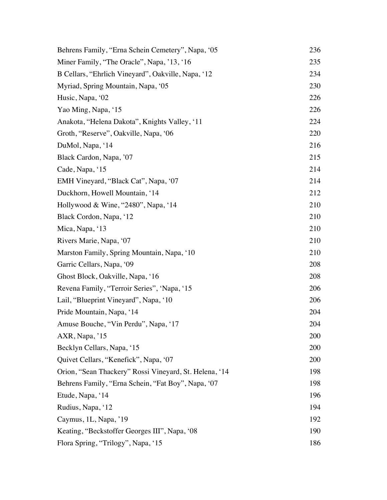| Behrens Family, "Erna Schein Cemetery", Napa, '05      | 236 |
|--------------------------------------------------------|-----|
| Miner Family, "The Oracle", Napa, '13, '16             | 235 |
| B Cellars, "Ehrlich Vineyard", Oakville, Napa, '12     | 234 |
| Myriad, Spring Mountain, Napa, '05                     | 230 |
| Husic, Napa, '02                                       | 226 |
| Yao Ming, Napa, '15                                    | 226 |
| Anakota, "Helena Dakota", Knights Valley, '11          | 224 |
| Groth, "Reserve", Oakville, Napa, '06                  | 220 |
| DuMol, Napa, '14                                       | 216 |
| Black Cardon, Napa, '07                                | 215 |
| Cade, Napa, '15                                        | 214 |
| EMH Vineyard, "Black Cat", Napa, '07                   | 214 |
| Duckhorn, Howell Mountain, '14                         | 212 |
| Hollywood & Wine, "2480", Napa, '14                    | 210 |
| Black Cordon, Napa, '12                                | 210 |
| Mica, Napa, '13                                        | 210 |
| Rivers Marie, Napa, '07                                | 210 |
| Marston Family, Spring Mountain, Napa, '10             | 210 |
| Garric Cellars, Napa, '09                              | 208 |
| Ghost Block, Oakville, Napa, '16                       | 208 |
| Revena Family, "Terroir Series", 'Napa, '15            | 206 |
| Lail, "Blueprint Vineyard", Napa, '10                  | 206 |
| Pride Mountain, Napa, '14                              | 204 |
| Amuse Bouche, "Vin Perdu", Napa, '17                   | 204 |
| AXR, Napa, '15                                         | 200 |
| Becklyn Cellars, Napa, '15                             | 200 |
| Quivet Cellars, "Kenefick", Napa, '07                  | 200 |
| Orion, "Sean Thackery" Rossi Vineyard, St. Helena, '14 | 198 |
| Behrens Family, "Erna Schein, "Fat Boy", Napa, '07     | 198 |
| Etude, Napa, '14                                       | 196 |
| Rudius, Napa, '12                                      | 194 |
| Caymus, 1L, Napa, '19                                  | 192 |
| Keating, "Beckstoffer Georges III", Napa, '08          | 190 |
| Flora Spring, "Trilogy", Napa, '15                     | 186 |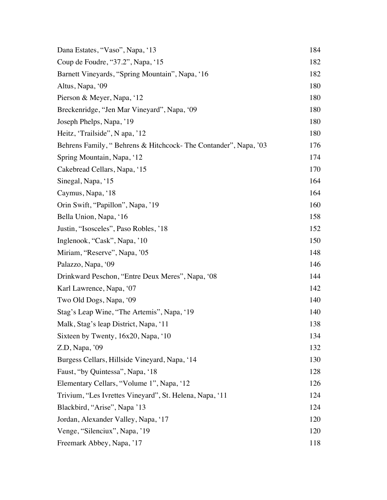| Dana Estates, "Vaso", Napa, '13                                | 184 |
|----------------------------------------------------------------|-----|
| Coup de Foudre, "37.2", Napa, '15                              | 182 |
| Barnett Vineyards, "Spring Mountain", Napa, '16                | 182 |
| Altus, Napa, '09                                               | 180 |
| Pierson & Meyer, Napa, '12                                     | 180 |
| Breckenridge, "Jen Mar Vineyard", Napa, '09                    | 180 |
| Joseph Phelps, Napa, '19                                       | 180 |
| Heitz, 'Trailside'', N apa, '12                                | 180 |
| Behrens Family, "Behrens & Hitchcock-The Contander", Napa, '03 | 176 |
| Spring Mountain, Napa, '12                                     | 174 |
| Cakebread Cellars, Napa, '15                                   | 170 |
| Sinegal, Napa, '15                                             | 164 |
| Caymus, Napa, '18                                              | 164 |
| Orin Swift, "Papillon", Napa, '19                              | 160 |
| Bella Union, Napa, '16                                         | 158 |
| Justin, "Isosceles", Paso Robles, '18                          | 152 |
| Inglenook, "Cask", Napa, '10                                   | 150 |
| Miriam, "Reserve", Napa, '05                                   | 148 |
| Palazzo, Napa, '09                                             | 146 |
| Drinkward Peschon, "Entre Deux Meres", Napa, '08               | 144 |
| Karl Lawrence, Napa, '07                                       | 142 |
| Two Old Dogs, Napa, '09                                        | 140 |
| Stag's Leap Wine, "The Artemis", Napa, '19                     | 140 |
| Malk, Stag's leap District, Napa, '11                          | 138 |
| Sixteen by Twenty, 16x20, Napa, '10                            | 134 |
| $Z.D$ , Napa, '09                                              | 132 |
| Burgess Cellars, Hillside Vineyard, Napa, '14                  | 130 |
| Faust, "by Quintessa", Napa, '18                               | 128 |
| Elementary Cellars, "Volume 1", Napa, '12                      | 126 |
| Trivium, "Les Ivrettes Vineyard", St. Helena, Napa, '11        | 124 |
| Blackbird, "Arise", Napa '13                                   | 124 |
| Jordan, Alexander Valley, Napa, '17                            | 120 |
| Venge, "Silenciux", Napa, '19                                  | 120 |
| Freemark Abbey, Napa, '17                                      | 118 |